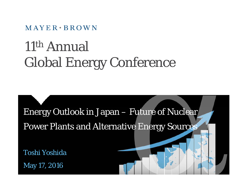$MAYER \cdot BROWN$ 

## 11th Annual Global Energy Conference

Energy Outlook in Japan – Future of Nuclear Power Plants and Alternative Energy Sources

Toshi Yoshida

May 17, 2016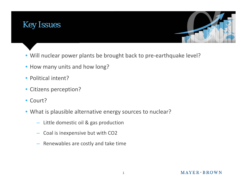



- Will nuclear power plants be brought back to pre-earthquake level?
- How many units and how long?
- Political intent?
- Citizens perception?
- Court?
- What is plausible alternative energy sources to nuclear?
	- Little domestic oil & gas production
	- –Coal is inexpensive but with CO2
	- Renewables are costly and take time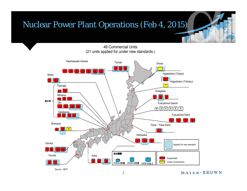#### Nuclear Power Plant Operations (Feb 4, 2015)

**48 Commercial Units** (21 units applied for under new standards.)



 $MAYER*BROWN$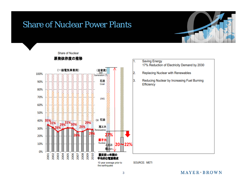## Share of Nuclear Power Plants



#### Share of Nuclear

#### 原発依存度の推移

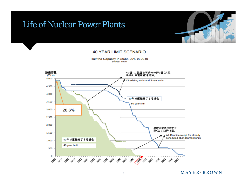#### Life of Nuclear Power Plants



#### **40 YEAR LIMIT SCENARIO**

Half the Capacity in 2030, 20% in 2040 Source: METI



 $MAYER+BROWN$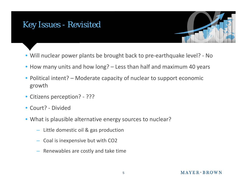#### Key Issues - Revisited



- Will nuclear power plants be brought back to pre‐earthquake level? ‐ No
- How many units and how long? Less than half and maximum 40 years
- Political intent? Moderate capacity of nuclear to support economic growth
- Citizens perception? ???
- Court? ‐ Divided
- What is plausible alternative energy sources to nuclear?
	- Little domestic oil & gas production
	- Coal is inexpensive but with CO2
	- Renewables are costly and take time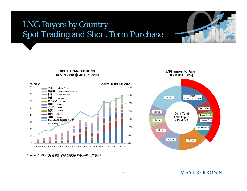## LNG Buyers by Country Spot Trading and Short Term Purchase



**SPOT TRANSACTIONS** (5% IN 2000 30% IN 2014)



Source: GIIGNL, 貿易統計および資源エネルギー庁調べ



 $MAYER+BROWN$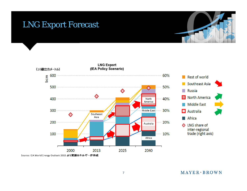### LNG Export Forecast





Source: IEA World Energy Outlook 2015 より資源エネルギー庁作成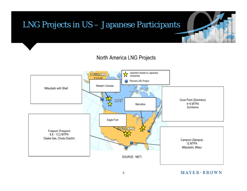# LNG Projects in US – Japanese Participants

#### North America LNG Projects



 $MAYER*BROMN$